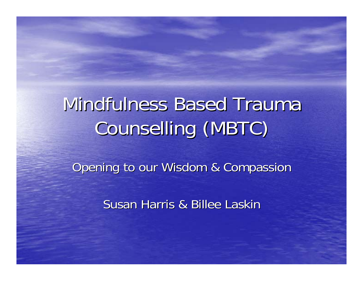# Mindfulness Based Trauma Counselling (MBTC)

Opening to our Wisdom & Compassion

Susan Harris & Billee Laskir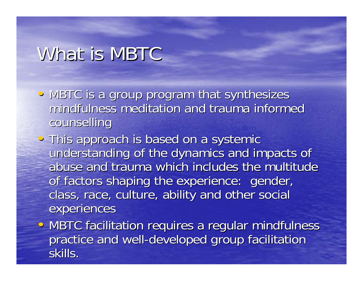#### What is MBTC

- MBTC is a group program that synthesizes mindfulness meditation and trauma informed counselling
- This approach is based on a systemic understanding of the dynamics and impacts of abuse and trauma which includes the multitude of factors shaping the experience: gender, class, race, culture, ability and other social experiences
- MBTC facilitation requires a regular mindfulness practice and well-developed group facilitation skills.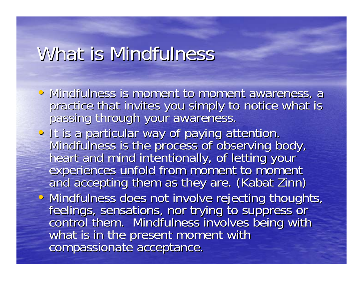#### What is Mindfulness

- Mindfulness is moment to moment awareness, a practice that invites you simply to notice what is passing through your awareness.
- It is a particular way of paying attention.<br>Mindfulness is the process of observing body,<br>heart and mind intentionally, of letting your<br>experiences unfold from moment to moment<br>and accepting them as they are. (Kabat Zinn

• Mindfulness does not involve rejecting thoughts,<br>feelings, sensations, nor trying to suppress or<br>control them. Mindfulness involves being with<br>what is in the present moment with<br>compassionate acceptance.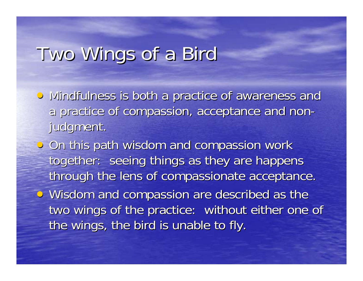### Two Wings of a Bird

- Mindfulness is both a practice of awareness and a practice of compassion, acceptance and non- judgment.
- $\bullet$  On this path wisdom and compassion work together: seeing things as they are happens through the lens of compassionate acceptance. • Wisdom and compassion are described as the two wings of the practice: without either one of
	- the wings, the bird is unable to fly.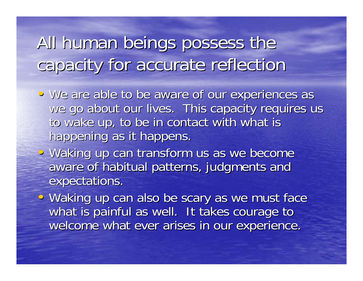All human beings possess the capacity for accurate reflection capacity for accurate reflection

- We are able to be aware of our experiences as we go about our lives. This capacity requires us to wake up, to be in contact with what is happening as it happens.
- Waking up can transform us as we become aware of habitual patterns, judgments and expectations.

• • Waking up can also be scary as we must face what is painful as well. It takes courage to welcome what ever arises in our experience.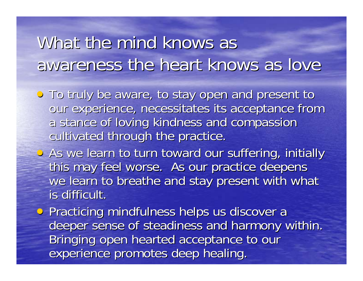### What the mind knows as awareness the heart knows as love

- To truly be aware, to stay open and present to our experience, necessitates its acceptance from a stance of loving kindness and compassion cultivated through the practice.
- As we learn to turn toward our suffering, initially this may feel worse. As our practice deepens we learn to breathe and stay present with what is difficult.
- Practicing mindfulness helps us discover a deeper sense of steadiness and harmony within. Bringing open hearted acceptance to our experience promotes deep healing.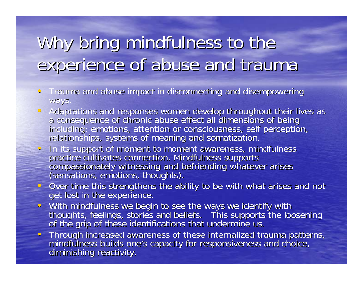## Why bring mindfulness to the experience of abuse and trauma

- $\bullet$ •Trauma and abuse impact in disconnecting and disempowering ways.
- $\bullet$ Adaptations and responses women develop throughout their lives as<br>a consequence of chronic abuse effect all dimensions of being<br>including: emotions, attention or consciousness, self perception,<br>relationships, systems of me
- In its support of moment to moment awareness, mindfulness<br>practice cultivates connection. Mindfulness supports<br>compassionately witnessing and befriending whatever arises<br>(sensations, emotions, thoughts).
- Over time this strengthens the ability to be with what arises and not get lost in the experience.
- $\bullet$  . thoughts, feelings, stories and beliefs. This supports the loosening<br>of the grip of these identifications that undermine us.
- Through increased awareness of these internalized trauma patterns,<br>mindfulness builds one's capacity for responsiveness and choice. mindfulness builds one's capacity for responsiveness and choice, diminishing reactivity.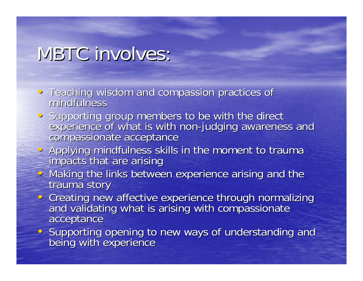#### MBTC involves:

- Teaching wisdom and compassion practices of mindfulness mindfulness
- $\bullet$ experience of what is with non-judging awareness and<br>compassionate acceptance
- Applying mindfulness skills in the moment to trauma impacts that are arising
- Making the links between experience arising and the trauma story
- Creating new affective experience through normalizing<br>and validating what is arising with compassionate acceptance
- Supporting opening to new ways of understanding and being with experience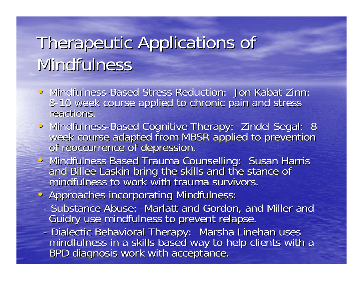## Therapeutic Applications of Therapeutic Applications of Mindfulness

- Mindfulness-Based Stress Reduction: Jon Kabat Zinn: 8-10 week course applied to chronic pain and stress reactions.
- Mindfulness-Based Cognitive Therapy: Zindel Segal: 8<br>week course adapted from MBSR applied to prevention<br>of reoccurrence of depression.
- Mindfulness Based Trauma Counselling: Susan Harris<br>and Billee Laskin bring the skills and the stance of mindfulness to work with trauma survivors.
- Approaches incorporating Mindfulness:
	- Substance Abuse: Marlatt and Gordon, and Miller and Guidry use mindfulness to prevent relapse.
	- -- Dialectic Behavioral Therapy: Marsha Linehan uses<br>mindfulness in a skills based way to help clients with a<br>BPD diagnosis work with acceptance.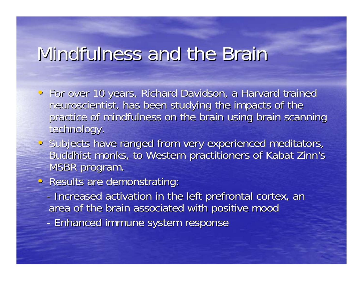#### Mindfulness and the Brair

- For over 10 years, Richard Davidson, a Harvard trained neuroscientist, has been studying the impacts of the practice of mindfulness on the brain using brain scanning technology.
- Subjects have ranged from very experienced meditators, Buddhist monks, to Western practitioners of Kabat Zinn's MSBR program.
- Results are demonstrating:
	- -- Increased activation in the left prefrontal cortex, an area of the brain associated with positive mood
	- -- Enhanced immune system response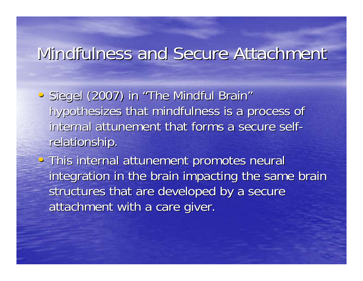#### Mindfulness and Secure Attachment

- · Siegel (2007) in "The Mindful Brain" hypothesizes that mindfulness is a process of internal attunement that forms a secure selfrelationship.
- This internal attunement promotes neural integration in the brain impacting the same brain structures that are developed by a secure attachment with a care giver.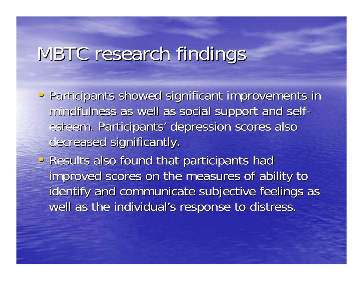### MBTC research findings

- Participants showed significant improvements in mindfulness as well as social support and self- esteem. Participants' depression scores also decreased significantly.
- Results also found that participants had improved scores on the measures of ability to identify and communicate subjective feelings as well as the individual's response to distress.